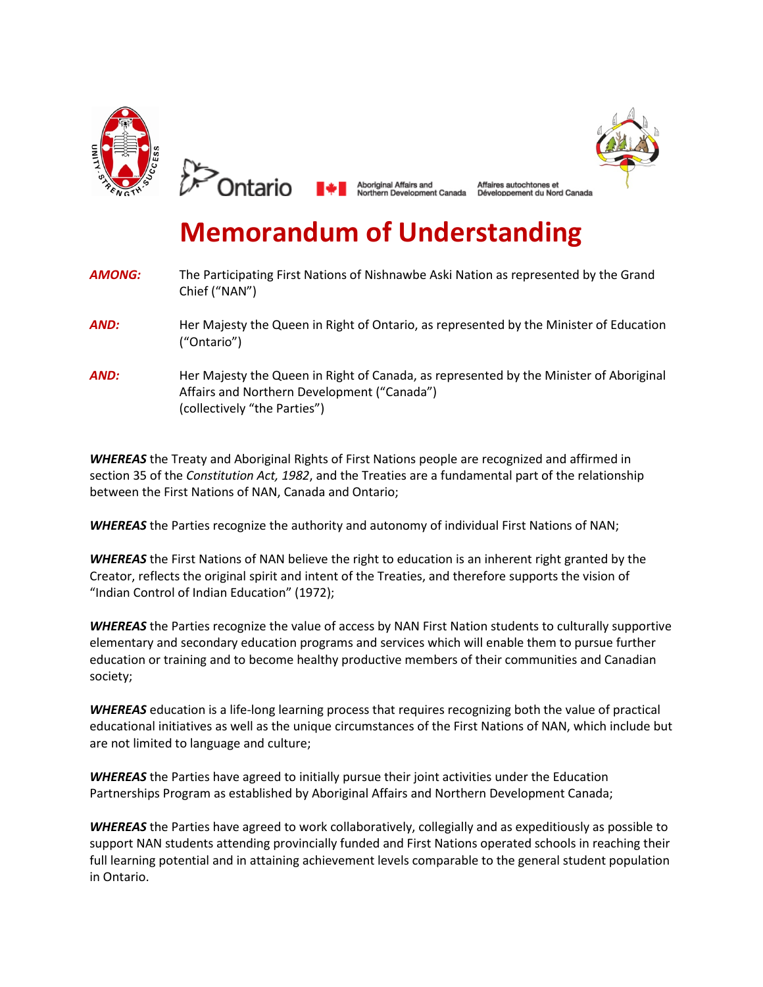



Affaires autochtones et

# **Memorandum of Understanding**

| <b>AMONG:</b> | The Participating First Nations of Nishnawbe Aski Nation as represented by the Grand<br>Chief ("NAN")                                                                 |
|---------------|-----------------------------------------------------------------------------------------------------------------------------------------------------------------------|
| AND:          | Her Majesty the Queen in Right of Ontario, as represented by the Minister of Education<br>("Ontario")                                                                 |
| AND:          | Her Majesty the Queen in Right of Canada, as represented by the Minister of Aboriginal<br>Affairs and Northern Development ("Canada")<br>(collectively "the Parties") |

*WHEREAS* the Treaty and Aboriginal Rights of First Nations people are recognized and affirmed in section 35 of the *Constitution Act, 1982*, and the Treaties are a fundamental part of the relationship between the First Nations of NAN, Canada and Ontario;

**WHEREAS** the Parties recognize the authority and autonomy of individual First Nations of NAN;

*WHEREAS* the First Nations of NAN believe the right to education is an inherent right granted by the Creator, reflects the original spirit and intent of the Treaties, and therefore supports the vision of "Indian Control of Indian Education" (1972);

**WHEREAS** the Parties recognize the value of access by NAN First Nation students to culturally supportive elementary and secondary education programs and services which will enable them to pursue further education or training and to become healthy productive members of their communities and Canadian society;

*WHEREAS* education is a life-long learning process that requires recognizing both the value of practical educational initiatives as well as the unique circumstances of the First Nations of NAN, which include but are not limited to language and culture;

*WHEREAS* the Parties have agreed to initially pursue their joint activities under the Education Partnerships Program as established by Aboriginal Affairs and Northern Development Canada;

*WHEREAS* the Parties have agreed to work collaboratively, collegially and as expeditiously as possible to support NAN students attending provincially funded and First Nations operated schools in reaching their full learning potential and in attaining achievement levels comparable to the general student population in Ontario.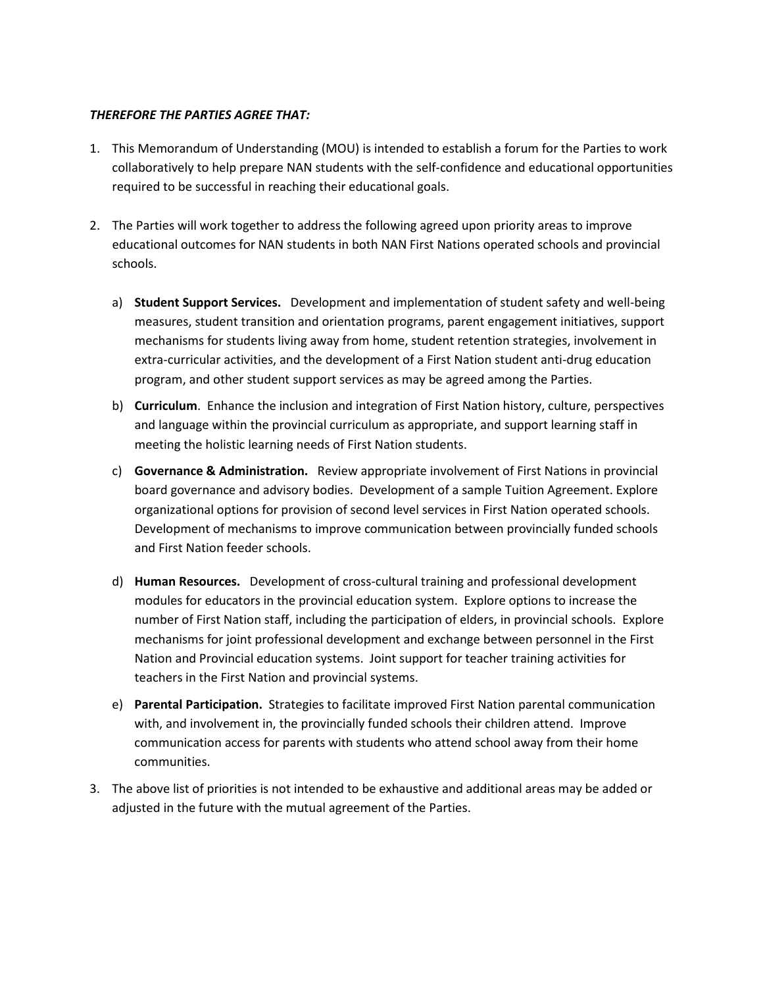## *THEREFORE THE PARTIES AGREE THAT:*

- 1. This Memorandum of Understanding (MOU) is intended to establish a forum for the Parties to work collaboratively to help prepare NAN students with the self-confidence and educational opportunities required to be successful in reaching their educational goals.
- 2. The Parties will work together to address the following agreed upon priority areas to improve educational outcomes for NAN students in both NAN First Nations operated schools and provincial schools.
	- a) **Student Support Services.** Development and implementation of student safety and well-being measures, student transition and orientation programs, parent engagement initiatives, support mechanisms for students living away from home, student retention strategies, involvement in extra-curricular activities, and the development of a First Nation student anti-drug education program, and other student support services as may be agreed among the Parties.
	- b) **Curriculum**. Enhance the inclusion and integration of First Nation history, culture, perspectives and language within the provincial curriculum as appropriate, and support learning staff in meeting the holistic learning needs of First Nation students.
	- c) **Governance & Administration.** Review appropriate involvement of First Nations in provincial board governance and advisory bodies. Development of a sample Tuition Agreement. Explore organizational options for provision of second level services in First Nation operated schools. Development of mechanisms to improve communication between provincially funded schools and First Nation feeder schools.
	- d) **Human Resources.** Development of cross-cultural training and professional development modules for educators in the provincial education system. Explore options to increase the number of First Nation staff, including the participation of elders, in provincial schools. Explore mechanisms for joint professional development and exchange between personnel in the First Nation and Provincial education systems. Joint support for teacher training activities for teachers in the First Nation and provincial systems.
	- e) **Parental Participation.** Strategies to facilitate improved First Nation parental communication with, and involvement in, the provincially funded schools their children attend. Improve communication access for parents with students who attend school away from their home communities.
- 3. The above list of priorities is not intended to be exhaustive and additional areas may be added or adjusted in the future with the mutual agreement of the Parties.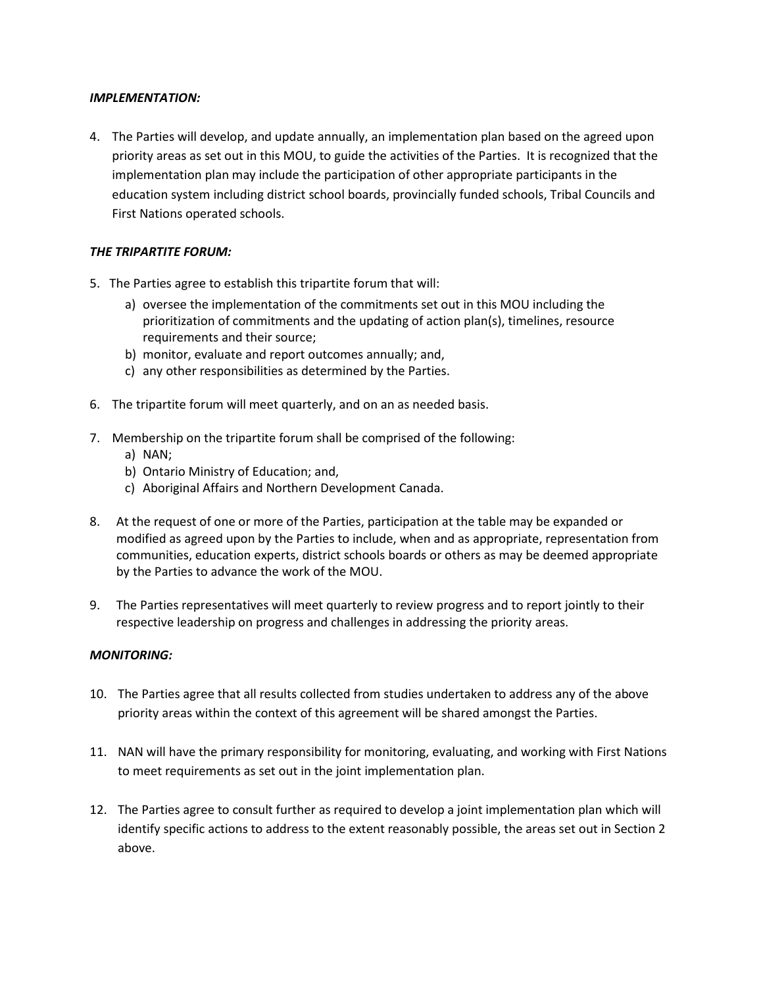#### *IMPLEMENTATION:*

4. The Parties will develop, and update annually, an implementation plan based on the agreed upon priority areas as set out in this MOU, to guide the activities of the Parties. It is recognized that the implementation plan may include the participation of other appropriate participants in the education system including district school boards, provincially funded schools, Tribal Councils and First Nations operated schools.

# *THE TRIPARTITE FORUM:*

- 5. The Parties agree to establish this tripartite forum that will:
	- a) oversee the implementation of the commitments set out in this MOU including the prioritization of commitments and the updating of action plan(s), timelines, resource requirements and their source;
	- b) monitor, evaluate and report outcomes annually; and,
	- c) any other responsibilities as determined by the Parties.
- 6. The tripartite forum will meet quarterly, and on an as needed basis.
- 7. Membership on the tripartite forum shall be comprised of the following:
	- a) NAN;
	- b) Ontario Ministry of Education; and,
	- c) Aboriginal Affairs and Northern Development Canada.
- 8. At the request of one or more of the Parties, participation at the table may be expanded or modified as agreed upon by the Parties to include, when and as appropriate, representation from communities, education experts, district schools boards or others as may be deemed appropriate by the Parties to advance the work of the MOU.
- 9. The Parties representatives will meet quarterly to review progress and to report jointly to their respective leadership on progress and challenges in addressing the priority areas.

## *MONITORING:*

- 10. The Parties agree that all results collected from studies undertaken to address any of the above priority areas within the context of this agreement will be shared amongst the Parties.
- 11. NAN will have the primary responsibility for monitoring, evaluating, and working with First Nations to meet requirements as set out in the joint implementation plan.
- 12. The Parties agree to consult further as required to develop a joint implementation plan which will identify specific actions to address to the extent reasonably possible, the areas set out in Section 2 above.